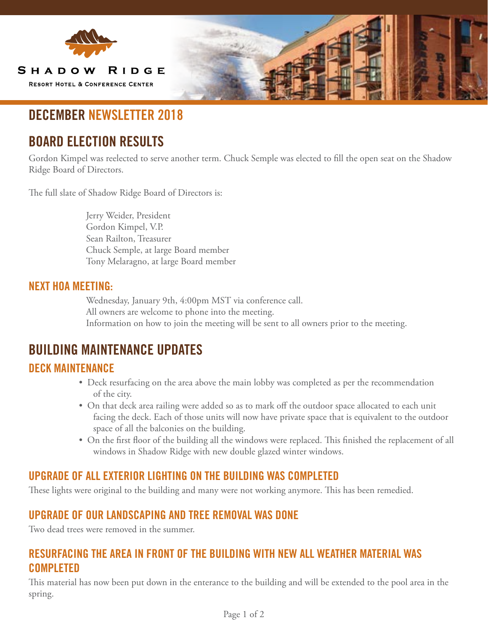

# **DECEMBER NEWSLETTER 2018**

# **BOARD ELECTION RESULTS**

Gordon Kimpel was reelected to serve another term. Chuck Semple was elected to fill the open seat on the Shadow Ridge Board of Directors.

The full slate of Shadow Ridge Board of Directors is:

 Jerry Weider, President Gordon Kimpel, V.P. Sean Railton, Treasurer Chuck Semple, at large Board member Tony Melaragno, at large Board member

#### **NEXT HOA MEETING:**

 Wednesday, January 9th, 4:00pm MST via conference call. All owners are welcome to phone into the meeting. Information on how to join the meeting will be sent to all owners prior to the meeting.

### **BUILDING MAINTENANCE UPDATES**

#### **DECK MAINTENANCE**

- Deck resurfacing on the area above the main lobby was completed as per the recommendation of the city.
- On that deck area railing were added so as to mark off the outdoor space allocated to each unit facing the deck. Each of those units will now have private space that is equivalent to the outdoor space of all the balconies on the building.
- On the first floor of the building all the windows were replaced. This finished the replacement of all windows in Shadow Ridge with new double glazed winter windows.

### **UPGRADE OF ALL EXTERIOR LIGHTING ON THE BUILDING WAS COMPLETED**

These lights were original to the building and many were not working anymore. This has been remedied.

#### **UPGRADE OF OUR LANDSCAPING AND TREE REMOVAL WAS DONE**

Two dead trees were removed in the summer.

#### **RESURFACING THE AREA IN FRONT OF THE BUILDING WITH NEW ALL WEATHER MATERIAL WAS COMPLETED**

This material has now been put down in the enterance to the building and will be extended to the pool area in the spring.